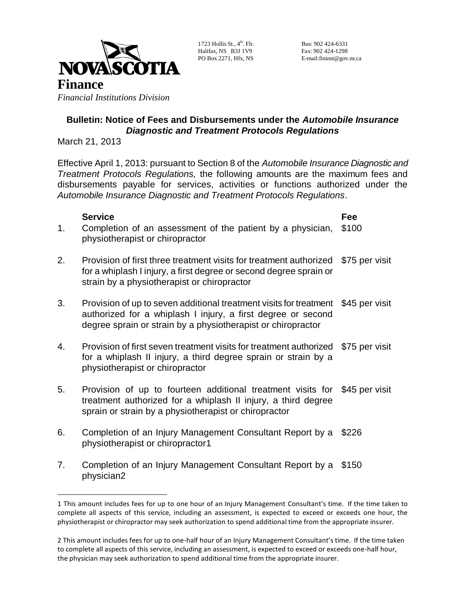

1723 Hollis St.,  $4<sup>th</sup>$ . Flr. 7 th Floor B3J 1A1 Halifax, NS B3J 1V9 Fax: 902 424-1298

Bus: 902 424-6331 PO Box 2271, Hfx, NS E-mail:fininst@gov.ns.ca

## **Bulletin: Notice of Fees and Disbursements under the** *Automobile Insurance Diagnostic and Treatment Protocols Regulations*

March 21, 2013

 $\overline{a}$ 

Effective April 1, 2013: pursuant to Section 8 of the *Automobile Insurance Diagnostic and Treatment Protocols Regulations,* the following amounts are the maximum fees and disbursements payable for services, activities or functions authorized under the *Automobile Insurance Diagnostic and Treatment Protocols Regulations*.

## **Service Fee** 1. Completion of an assessment of the patient by a physician, physiotherapist or chiropractor \$100 2. Provision of first three treatment visits for treatment authorized \$75 per visit for a whiplash I injury, a first degree or second degree sprain or strain by a physiotherapist or chiropractor 3. Provision of up to seven additional treatment visits for treatment \$45 per visit authorized for a whiplash I injury, a first degree or second degree sprain or strain by a physiotherapist or chiropractor 4. Provision of first seven treatment visits for treatment authorized \$75 per visit for a whiplash II injury, a third degree sprain or strain by a physiotherapist or chiropractor 5. Provision of up to fourteen additional treatment visits for \$45 per visit treatment authorized for a whiplash II injury, a third degree sprain or strain by a physiotherapist or chiropractor 6. Completion of an Injury Management Consultant Report by a \$226 physiotherapist or chiropractor1

7. Completion of an Injury Management Consultant Report by a \$150 physician2

<sup>1</sup> This amount includes fees for up to one hour of an Injury Management Consultant's time. If the time taken to complete all aspects of this service, including an assessment, is expected to exceed or exceeds one hour, the physiotherapist or chiropractor may seek authorization to spend additional time from the appropriate insurer.

<sup>2</sup> This amount includes fees for up to one-half hour of an Injury Management Consultant's time. If the time taken to complete all aspects of this service, including an assessment, is expected to exceed or exceeds one-half hour, the physician may seek authorization to spend additional time from the appropriate insurer.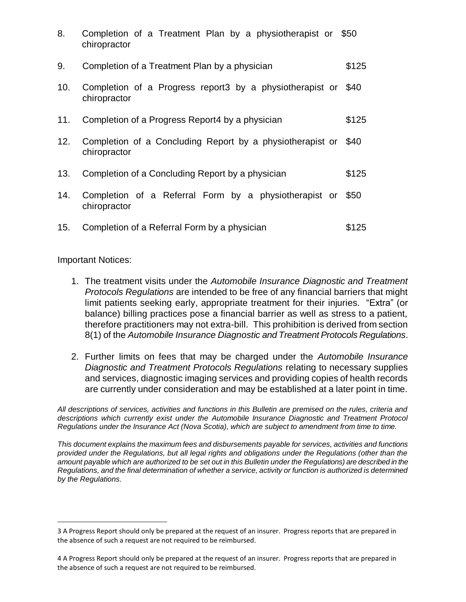| 8.  | Completion of a Treatment Plan by a physiotherapist or \$50<br>chiropractor |       |
|-----|-----------------------------------------------------------------------------|-------|
| 9.  | Completion of a Treatment Plan by a physician                               | \$125 |
| 10. | Completion of a Progress report3 by a physiotherapist or<br>chiropractor    | \$40  |
| 11. | Completion of a Progress Report4 by a physician                             | \$125 |
| 12. | Completion of a Concluding Report by a physiotherapist or<br>chiropractor   | \$40  |
| 13. | Completion of a Concluding Report by a physician                            | \$125 |
| 14. | Completion of a Referral Form by a physiotherapist or<br>chiropractor       | \$50  |
| 15. | Completion of a Referral Form by a physician                                | \$125 |

Important Notices:

 $\overline{a}$ 

- 1. The treatment visits under the *Automobile Insurance Diagnostic and Treatment Protocols Regulations* are intended to be free of any financial barriers that might limit patients seeking early, appropriate treatment for their injuries. "Extra" (or balance) billing practices pose a financial barrier as well as stress to a patient, therefore practitioners may not extra-bill. This prohibition is derived from section 8(1) of the *Automobile Insurance Diagnostic and Treatment Protocols Regulations*.
- 2. Further limits on fees that may be charged under the *Automobile Insurance Diagnostic and Treatment Protocols Regulations* relating to necessary supplies and services, diagnostic imaging services and providing copies of health records are currently under consideration and may be established at a later point in time.

*All descriptions of services, activities and functions in this Bulletin are premised on the rules, criteria and descriptions which currently exist under the Automobile Insurance Diagnostic and Treatment Protocol Regulations under the Insurance Act (Nova Scotia), which are subject to amendment from time to time.*

*This document explains the maximum fees and disbursements payable for services, activities and functions provided under the Regulations, but all legal rights and obligations under the Regulations (other than the amount payable which are authorized to be set out in this Bulletin under the Regulations) are described in the Regulations, and the final determination of whether a service, activity or function is authorized is determined by the Regulations.*

<sup>3</sup> A Progress Report should only be prepared at the request of an insurer. Progress reports that are prepared in the absence of such a request are not required to be reimbursed.

<sup>4</sup> A Progress Report should only be prepared at the request of an insurer. Progress reports that are prepared in the absence of such a request are not required to be reimbursed.